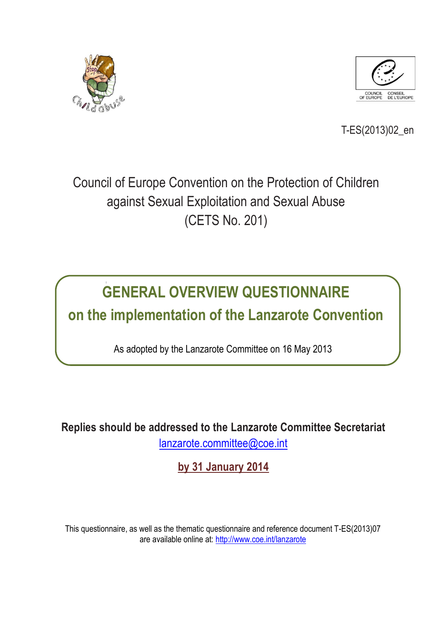



T-ES(2013)02\_en

# Council of Europe Convention on the Protection of Children against Sexual Exploitation and Sexual Abuse (CETS No. 201)

# **GENERAL OVERVIEW QUESTIONNAIRE on the implementation of the Lanzarote Convention**

As adopted by the Lanzarote Committee on 16 May 2013

**Replies should be addressed to the Lanzarote Committee Secretariat** [lanzarote.committee@coe.int](mailto:lanzarote.committee@coe.int)

**by 31 January 2014**

This questionnaire, as well as the thematic questionnaire and reference document T-ES(2013)07 are available online at: <http://www.coe.int/lanzarote>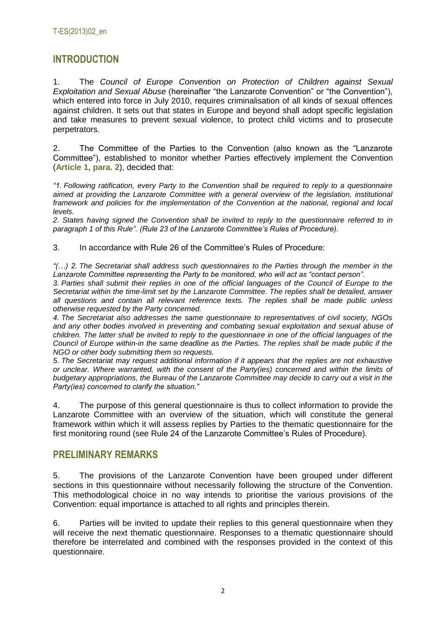# **INTRODUCTION**

1. The *Council of Europe Convention on Protection of Children against Sexual Exploitation and Sexual Abuse* (hereinafter "the Lanzarote Convention" or "the Convention"), which entered into force in July 2010, requires criminalisation of all kinds of sexual offences against children. It sets out that states in Europe and beyond shall adopt specific legislation and take measures to prevent sexual violence, to protect child victims and to prosecute perpetrators.

2. The Committee of the Parties to the Convention (also known as the "Lanzarote Committee"), established to monitor whether Parties effectively implement the Convention (**Article 1, para. 2**), decided that:

*"1. Following ratification, every Party to the Convention shall be required to reply to a questionnaire aimed at providing the Lanzarote Committee with a general overview of the legislation, institutional framework and policies for the implementation of the Convention at the national, regional and local levels.* 

*2. States having signed the Convention shall be invited to reply to the questionnaire referred to in paragraph 1 of this Rule". (Rule 23 of the Lanzarote Committee's Rules of Procedure).*

3. In accordance with Rule 26 of the Committee's Rules of Procedure:

*"(…) 2. The Secretariat shall address such questionnaires to the Parties through the member in the Lanzarote Committee representing the Party to be monitored, who will act as "contact person".*

*3. Parties shall submit their replies in one of the official languages of the Council of Europe to the Secretariat within the time-limit set by the Lanzarote Committee. The replies shall be detailed, answer all questions and contain all relevant reference texts. The replies shall be made public unless otherwise requested by the Party concerned.*

*4. The Secretariat also addresses the same questionnaire to representatives of civil society, NGOs and any other bodies involved in preventing and combating sexual exploitation and sexual abuse of children. The latter shall be invited to reply to the questionnaire in one of the official languages of the Council of Europe within-in the same deadline as the Parties. The replies shall be made public if the NGO or other body submitting them so requests.*

*5. The Secretariat may request additional information if it appears that the replies are not exhaustive or unclear. Where warranted, with the consent of the Party(ies) concerned and within the limits of budgetary appropriations, the Bureau of the Lanzarote Committee may decide to carry out a visit in the Party(ies) concerned to clarify the situation."*

4. The purpose of this general questionnaire is thus to collect information to provide the Lanzarote Committee with an overview of the situation, which will constitute the general framework within which it will assess replies by Parties to the thematic questionnaire for the first monitoring round (see Rule 24 of the Lanzarote Committee's Rules of Procedure).

## **PRELIMINARY REMARKS**

5. The provisions of the Lanzarote Convention have been grouped under different sections in this questionnaire without necessarily following the structure of the Convention. This methodological choice in no way intends to prioritise the various provisions of the Convention: equal importance is attached to all rights and principles therein.

6. Parties will be invited to update their replies to this general questionnaire when they will receive the next thematic questionnaire. Responses to a thematic questionnaire should therefore be interrelated and combined with the responses provided in the context of this questionnaire.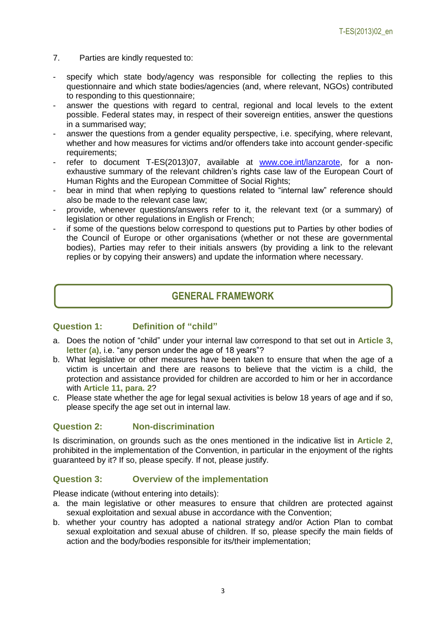- 7. Parties are kindly requested to:
- specify which state body/agency was responsible for collecting the replies to this questionnaire and which state bodies/agencies (and, where relevant, NGOs) contributed to responding to this questionnaire;
- answer the questions with regard to central, regional and local levels to the extent possible. Federal states may, in respect of their sovereign entities, answer the questions in a summarised way;
- answer the questions from a gender equality perspective, i.e. specifying, where relevant, whether and how measures for victims and/or offenders take into account gender-specific requirements;
- refer to document T-ES(2013)07, available at [www.coe.int/lanzarote,](http://www.coe.int/lanzarote) for a nonexhaustive summary of the relevant children's rights case law of the European Court of Human Rights and the European Committee of Social Rights;
- bear in mind that when replying to questions related to "internal law" reference should also be made to the relevant case law;
- provide, whenever questions/answers refer to it, the relevant text (or a summary) of legislation or other regulations in English or French;
- if some of the questions below correspond to questions put to Parties by other bodies of the Council of Europe or other organisations (whether or not these are governmental bodies), Parties may refer to their initials answers (by providing a link to the relevant replies or by copying their answers) and update the information where necessary.

## **GENERAL FRAMEWORK**

## **Question 1: Definition of "child"**

- a. Does the notion of "child" under your internal law correspond to that set out in **Article 3, letter (a)**, i.e. "any person under the age of 18 years"?
- b. What legislative or other measures have been taken to ensure that when the age of a victim is uncertain and there are reasons to believe that the victim is a child, the protection and assistance provided for children are accorded to him or her in accordance with **Article 11, para. 2**?
- c. Please state whether the age for legal sexual activities is below 18 years of age and if so, please specify the age set out in internal law.

#### **Question 2: Non-discrimination**

Is discrimination, on grounds such as the ones mentioned in the indicative list in **Article 2**, prohibited in the implementation of the Convention, in particular in the enjoyment of the rights guaranteed by it? If so, please specify. If not, please justify.

## **Question 3: Overview of the implementation**

Please indicate (without entering into details):

- a. the main legislative or other measures to ensure that children are protected against sexual exploitation and sexual abuse in accordance with the Convention;
- b. whether your country has adopted a national strategy and/or Action Plan to combat sexual exploitation and sexual abuse of children. If so, please specify the main fields of action and the body/bodies responsible for its/their implementation;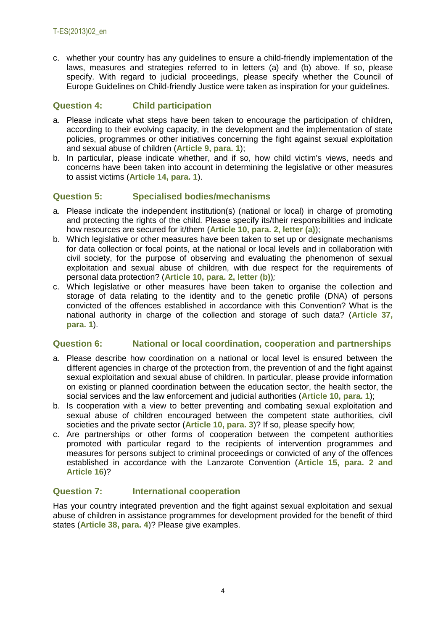c. whether your country has any guidelines to ensure a child-friendly implementation of the laws, measures and strategies referred to in letters (a) and (b) above. If so, please specify. With regard to judicial proceedings, please specify whether the Council of Europe Guidelines on Child-friendly Justice were taken as inspiration for your guidelines.

## **Question 4: Child participation**

- a. Please indicate what steps have been taken to encourage the participation of children, according to their evolving capacity, in the development and the implementation of state policies, programmes or other initiatives concerning the fight against sexual exploitation and sexual abuse of children (**Article 9, para. 1**);
- b. In particular, please indicate whether, and if so, how child victim's views, needs and concerns have been taken into account in determining the legislative or other measures to assist victims (**Article 14, para. 1**).

## **Question 5: Specialised bodies/mechanisms**

- a. Please indicate the independent institution(s) (national or local) in charge of promoting and protecting the rights of the child. Please specify its/their responsibilities and indicate how resources are secured for it/them (**Article 10, para. 2, letter (a)**);
- b. Which legislative or other measures have been taken to set up or designate mechanisms for data collection or focal points, at the national or local levels and in collaboration with civil society, for the purpose of observing and evaluating the phenomenon of sexual exploitation and sexual abuse of children, with due respect for the requirements of personal data protection? (**Article 10, para. 2, letter (b)**)*;*
- c. Which legislative or other measures have been taken to organise the collection and storage of data relating to the identity and to the genetic profile (DNA) of persons convicted of the offences established in accordance with this Convention? What is the national authority in charge of the collection and storage of such data? (**Article 37, para. 1**).

## **Question 6: National or local coordination, cooperation and partnerships**

- a. Please describe how coordination on a national or local level is ensured between the different agencies in charge of the protection from, the prevention of and the fight against sexual exploitation and sexual abuse of children. In particular, please provide information on existing or planned coordination between the education sector, the health sector, the social services and the law enforcement and judicial authorities (**Article 10, para. 1**);
- b. Is cooperation with a view to better preventing and combating sexual exploitation and sexual abuse of children encouraged between the competent state authorities, civil societies and the private sector (**Article 10, para. 3**)? If so, please specify how;
- c. Are partnerships or other forms of cooperation between the competent authorities promoted with particular regard to the recipients of intervention programmes and measures for persons subject to criminal proceedings or convicted of any of the offences established in accordance with the Lanzarote Convention (**Article 15, para. 2 and Article 16**)?

## **Question 7: International cooperation**

Has your country integrated prevention and the fight against sexual exploitation and sexual abuse of children in assistance programmes for development provided for the benefit of third states (**Article 38, para. 4**)? Please give examples.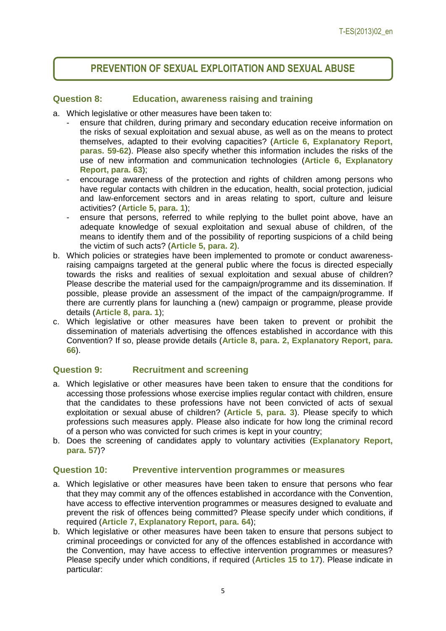# **PREVENTION OF SEXUAL EXPLOITATION AND SEXUAL ABUSE**

#### **Question 8: Education, awareness raising and training**

- a. Which legislative or other measures have been taken to:
	- ensure that children, during primary and secondary education receive information on the risks of sexual exploitation and sexual abuse, as well as on the means to protect themselves, adapted to their evolving capacities? (**Article 6, Explanatory Report, paras. 59-62**). Please also specify whether this information includes the risks of the use of new information and communication technologies (**Article 6, Explanatory Report, para. 63**);
	- encourage awareness of the protection and rights of children among persons who have regular contacts with children in the education, health, social protection, judicial and law-enforcement sectors and in areas relating to sport, culture and leisure activities? (**Article 5, para. 1**);
	- ensure that persons, referred to while replying to the bullet point above, have an adequate knowledge of sexual exploitation and sexual abuse of children, of the means to identify them and of the possibility of reporting suspicions of a child being the victim of such acts? (**Article 5, para. 2)**.
- b. Which policies or strategies have been implemented to promote or conduct awarenessraising campaigns targeted at the general public where the focus is directed especially towards the risks and realities of sexual exploitation and sexual abuse of children? Please describe the material used for the campaign/programme and its dissemination. If possible, please provide an assessment of the impact of the campaign/programme. If there are currently plans for launching a (new) campaign or programme, please provide details (**Article 8, para. 1**);
- c. Which legislative or other measures have been taken to prevent or prohibit the dissemination of materials advertising the offences established in accordance with this Convention? If so, please provide details (**Article 8, para. 2, Explanatory Report, para. 66**).

## **Question 9: Recruitment and screening**

- a. Which legislative or other measures have been taken to ensure that the conditions for accessing those professions whose exercise implies regular contact with children, ensure that the candidates to these professions have not been convicted of acts of sexual exploitation or sexual abuse of children? (**Article 5, para. 3**). Please specify to which professions such measures apply. Please also indicate for how long the criminal record of a person who was convicted for such crimes is kept in your country;
- b. Does the screening of candidates apply to voluntary activities (**Explanatory Report, para. 57**)?

#### **Question 10: Preventive intervention programmes or measures**

- a. Which legislative or other measures have been taken to ensure that persons who fear that they may commit any of the offences established in accordance with the Convention, have access to effective intervention programmes or measures designed to evaluate and prevent the risk of offences being committed? Please specify under which conditions, if required (**Article 7, Explanatory Report, para. 64**);
- b. Which legislative or other measures have been taken to ensure that persons subject to criminal proceedings or convicted for any of the offences established in accordance with the Convention, may have access to effective intervention programmes or measures? Please specify under which conditions, if required (**Articles 15 to 17**). Please indicate in particular: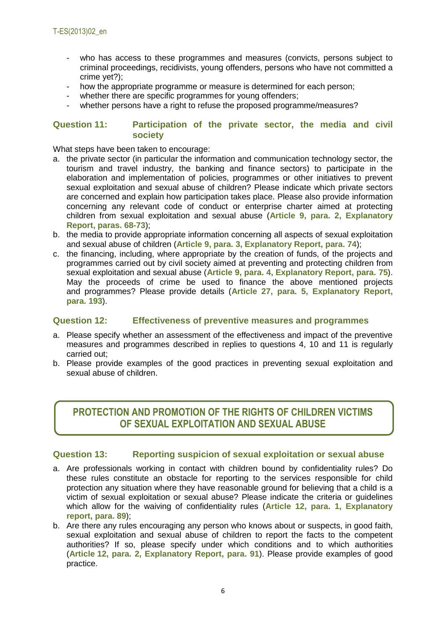- who has access to these programmes and measures (convicts, persons subject to criminal proceedings, recidivists, young offenders, persons who have not committed a crime yet?);
- how the appropriate programme or measure is determined for each person;
- whether there are specific programmes for young offenders;
- whether persons have a right to refuse the proposed programme/measures?

#### **Question 11: Participation of the private sector, the media and civil society**

What steps have been taken to encourage:

- a. the private sector (in particular the information and communication technology sector, the tourism and travel industry, the banking and finance sectors) to participate in the elaboration and implementation of policies, programmes or other initiatives to prevent sexual exploitation and sexual abuse of children? Please indicate which private sectors are concerned and explain how participation takes place. Please also provide information concerning any relevant code of conduct or enterprise charter aimed at protecting children from sexual exploitation and sexual abuse (**Article 9, para. 2, Explanatory Report, paras. 68-73**);
- b. the media to provide appropriate information concerning all aspects of sexual exploitation and sexual abuse of children (**Article 9, para. 3, Explanatory Report, para. 74**);
- c. the financing, including, where appropriate by the creation of funds, of the projects and programmes carried out by civil society aimed at preventing and protecting children from sexual exploitation and sexual abuse (**Article 9, para. 4, Explanatory Report, para. 75**). May the proceeds of crime be used to finance the above mentioned projects and programmes? Please provide details (**Article 27, para. 5, Explanatory Report, para. 193**).

#### **Question 12: Effectiveness of preventive measures and programmes**

- a. Please specify whether an assessment of the effectiveness and impact of the preventive measures and programmes described in replies to questions 4, 10 and 11 is regularly carried out;
- b. Please provide examples of the good practices in preventing sexual exploitation and sexual abuse of children.

# **PROTECTION AND PROMOTION OF THE RIGHTS OF CHILDREN VICTIMS OF SEXUAL EXPLOITATION AND SEXUAL ABUSE**

#### **Question 13: Reporting suspicion of sexual exploitation or sexual abuse**

- a. Are professionals working in contact with children bound by confidentiality rules? Do these rules constitute an obstacle for reporting to the services responsible for child protection any situation where they have reasonable ground for believing that a child is a victim of sexual exploitation or sexual abuse? Please indicate the criteria or guidelines which allow for the waiving of confidentiality rules (**Article 12, para. 1, Explanatory report, para. 89**);
- b. Are there any rules encouraging any person who knows about or suspects, in good faith, sexual exploitation and sexual abuse of children to report the facts to the competent authorities? If so, please specify under which conditions and to which authorities (**Article 12, para. 2, Explanatory Report, para. 91**). Please provide examples of good practice.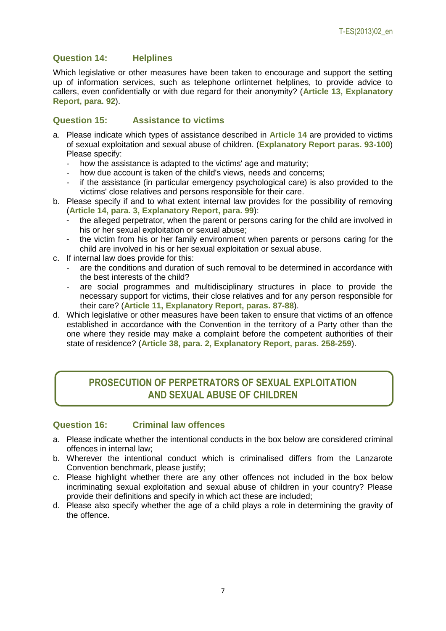## **Question 14: Helplines**

Which legislative or other measures have been taken to encourage and support the setting up of information services, such as telephone orIinternet helplines, to provide advice to callers, even confidentially or with due regard for their anonymity? (**Article 13, Explanatory Report, para. 92**).

#### **Question 15: Assistance to victims**

- a. Please indicate which types of assistance described in **Article 14** are provided to victims of sexual exploitation and sexual abuse of children. (**Explanatory Report paras. 93-100**) Please specify:
	- how the assistance is adapted to the victims' age and maturity;
	- how due account is taken of the child's views, needs and concerns;
	- if the assistance (in particular emergency psychological care) is also provided to the victims' close relatives and persons responsible for their care.
- b. Please specify if and to what extent internal law provides for the possibility of removing (**Article 14, para. 3, Explanatory Report, para. 99**):
	- the alleged perpetrator, when the parent or persons caring for the child are involved in his or her sexual exploitation or sexual abuse;
	- the victim from his or her family environment when parents or persons caring for the child are involved in his or her sexual exploitation or sexual abuse.
- c. If internal law does provide for this:
	- are the conditions and duration of such removal to be determined in accordance with the best interests of the child?
	- are social programmes and multidisciplinary structures in place to provide the necessary support for victims, their close relatives and for any person responsible for their care? (**Article 11, Explanatory Report, paras. 87-88**).
- d. Which legislative or other measures have been taken to ensure that victims of an offence established in accordance with the Convention in the territory of a Party other than the one where they reside may make a complaint before the competent authorities of their state of residence? (**Article 38, para. 2, Explanatory Report, paras. 258-259**).

# **PROSECUTION OF PERPETRATORS OF SEXUAL EXPLOITATION AND SEXUAL ABUSE OF CHILDREN**

#### **Question 16: Criminal law offences**

- a. Please indicate whether the intentional conducts in the box below are considered criminal offences in internal law;
- b. Wherever the intentional conduct which is criminalised differs from the Lanzarote Convention benchmark, please justify;
- c. Please highlight whether there are any other offences not included in the box below incriminating sexual exploitation and sexual abuse of children in your country? Please provide their definitions and specify in which act these are included;
- d. Please also specify whether the age of a child plays a role in determining the gravity of the offence.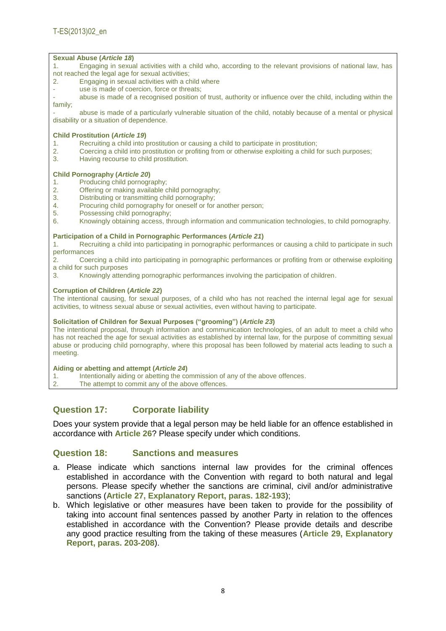#### **Sexual Abuse (***Article 18***)**

1. Engaging in sexual activities with a child who, according to the relevant provisions of national law, has not reached the legal age for sexual activities;

- 2. Engaging in sexual activities with a child where
- use is made of coercion, force or threats;

abuse is made of a recognised position of trust, authority or influence over the child, including within the family;

- abuse is made of a particularly vulnerable situation of the child, notably because of a mental or physical disability or a situation of dependence.

#### **Child Prostitution (***Article 19***)**

- 1. Recruiting a child into prostitution or causing a child to participate in prostitution;
- 2. Coercing a child into prostitution or profiting from or otherwise exploiting a child for such purposes;
- 3. Having recourse to child prostitution.

#### **Child Pornography (***Article 20***)**

- 1. Producing child pornography;
- 2. Offering or making available child pornography;
- 3. Distributing or transmitting child pornography;
- 4. Procuring child pornography for oneself or for another person;
- 5. Possessing child pornography;
- 6. Knowingly obtaining access, through information and communication technologies, to child pornography.

#### **Participation of a Child in Pornographic Performances (***Article 21***)**

1. Recruiting a child into participating in pornographic performances or causing a child to participate in such performances

2. Coercing a child into participating in pornographic performances or profiting from or otherwise exploiting a child for such purposes

3. Knowingly attending pornographic performances involving the participation of children.

#### **Corruption of Children (***Article 22***)**

The intentional causing, for sexual purposes, of a child who has not reached the internal legal age for sexual activities, to witness sexual abuse or sexual activities, even without having to participate.

#### **Solicitation of Children for Sexual Purposes ("grooming") (***Article 23***)**

The intentional proposal, through information and communication technologies, of an adult to meet a child who has not reached the age for sexual activities as established by internal law, for the purpose of committing sexual abuse or producing child pornography, where this proposal has been followed by material acts leading to such a meeting.

#### **Aiding or abetting and attempt (***Article 24***)**

- 1. Intentionally aiding or abetting the commission of any of the above offences.
- 2. The attempt to commit any of the above offences.

## **Question 17: Corporate liability**

Does your system provide that a legal person may be held liable for an offence established in accordance with **Article 26**? Please specify under which conditions.

#### **Question 18: Sanctions and measures**

- a. Please indicate which sanctions internal law provides for the criminal offences established in accordance with the Convention with regard to both natural and legal persons. Please specify whether the sanctions are criminal, civil and/or administrative sanctions (**Article 27, Explanatory Report, paras. 182-193**);
- b. Which legislative or other measures have been taken to provide for the possibility of taking into account final sentences passed by another Party in relation to the offences established in accordance with the Convention? Please provide details and describe any good practice resulting from the taking of these measures (**Article 29, Explanatory Report, paras. 203-208**).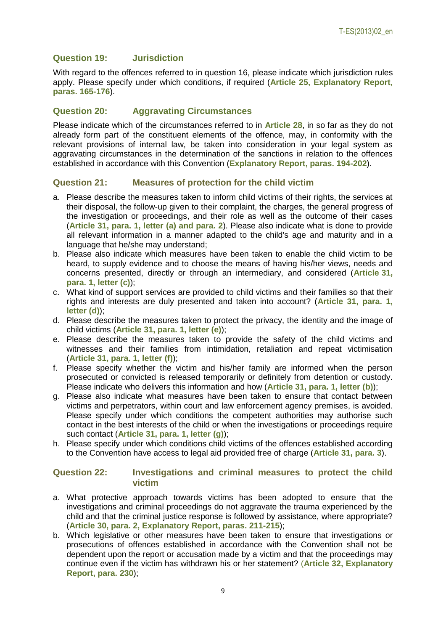#### **Question 19: Jurisdiction**

With regard to the offences referred to in question 16, please indicate which jurisdiction rules apply. Please specify under which conditions, if required (**Article 25, Explanatory Report, paras. 165-176**).

#### **Question 20: Aggravating Circumstances**

Please indicate which of the circumstances referred to in **Article 28**, in so far as they do not already form part of the constituent elements of the offence, may, in conformity with the relevant provisions of internal law, be taken into consideration in your legal system as aggravating circumstances in the determination of the sanctions in relation to the offences established in accordance with this Convention (**Explanatory Report, paras. 194-202**).

#### **Question 21: Measures of protection for the child victim**

- a. Please describe the measures taken to inform child victims of their rights, the services at their disposal, the follow-up given to their complaint, the charges, the general progress of the investigation or proceedings, and their role as well as the outcome of their cases (**Article 31, para. 1, letter (a) and para. 2**). Please also indicate what is done to provide all relevant information in a manner adapted to the child's age and maturity and in a language that he/she may understand;
- b. Please also indicate which measures have been taken to enable the child victim to be heard, to supply evidence and to choose the means of having his/her views, needs and concerns presented, directly or through an intermediary, and considered (**Article 31, para. 1, letter (c)**);
- c. What kind of support services are provided to child victims and their families so that their rights and interests are duly presented and taken into account? (**Article 31, para. 1, letter (d)**);
- d. Please describe the measures taken to protect the privacy, the identity and the image of child victims (**Article 31, para. 1, letter (e)**);
- e. Please describe the measures taken to provide the safety of the child victims and witnesses and their families from intimidation, retaliation and repeat victimisation (**Article 31, para. 1, letter (f)**);
- f. Please specify whether the victim and his/her family are informed when the person prosecuted or convicted is released temporarily or definitely from detention or custody. Please indicate who delivers this information and how (**Article 31, para. 1, letter (b)**);
- g. Please also indicate what measures have been taken to ensure that contact between victims and perpetrators, within court and law enforcement agency premises, is avoided. Please specify under which conditions the competent authorities may authorise such contact in the best interests of the child or when the investigations or proceedings require such contact (**Article 31, para. 1, letter (g)**);
- h. Please specify under which conditions child victims of the offences established according to the Convention have access to legal aid provided free of charge (**Article 31, para. 3**).

#### **Question 22: Investigations and criminal measures to protect the child victim**

- a. What protective approach towards victims has been adopted to ensure that the investigations and criminal proceedings do not aggravate the trauma experienced by the child and that the criminal justice response is followed by assistance, where appropriate? (**Article 30, para. 2, Explanatory Report, paras. 211-215**);
- b. Which legislative or other measures have been taken to ensure that investigations or prosecutions of offences established in accordance with the Convention shall not be dependent upon the report or accusation made by a victim and that the proceedings may continue even if the victim has withdrawn his or her statement? (**Article 32, Explanatory Report, para. 230**);